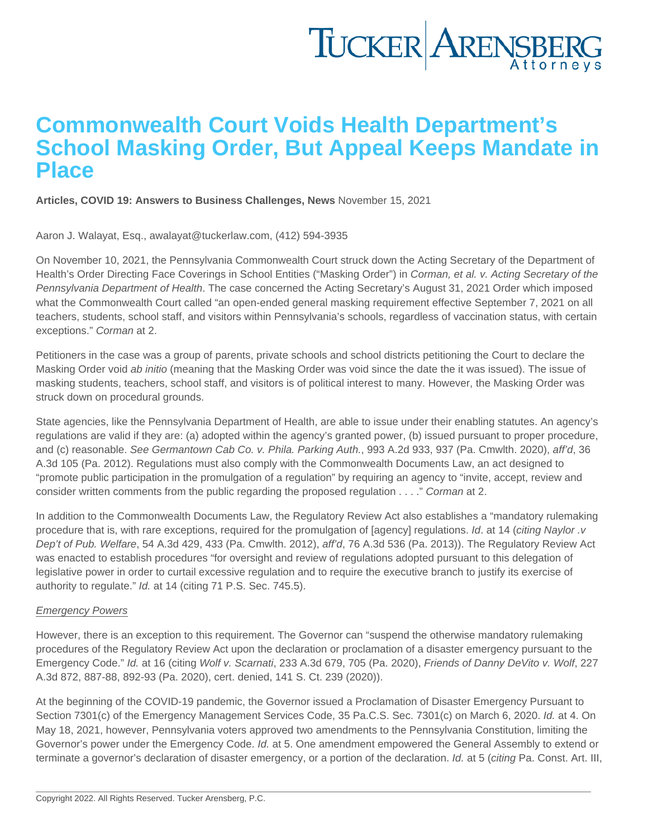# Commonwealth Court Voids Health Department's School Masking Order, But Appeal Keeps Mandate in Place

[Articles](https://www.tuckerlaw.com/category/articles/) , [COVID 19: Answers to Business Challenges](https://www.tuckerlaw.com/category/covid-19-answers-to-business-challenges/) , [News](https://www.tuckerlaw.com/category/news/) November 15, 2021

Aaron J. Walayat, Esq., [awalayat@tuckerlaw.com,](mailto:awalayat@tuckerlaw.com) (412) 594-3935

On November 10, 2021, the Pennsylvania Commonwealth Court [struck down](https://www.pacourts.us/Storage/media/pdfs/20211110/172213-nov.10,2021-opinion.pdf) the Acting Secretary of the Department of Health's Order Directing Face Coverings in School Entities ("Masking Order") in [Corman, et al. v. Acting Secretary of the](https://www.pacourts.us/corman-topper-calvary-academy-hillcrest-christian-academy-reich-mcclure-baptiste-baldacci-neiman-and-palmer-individually-and-as-parents-of-minor-school-children-v-acting-secretary-of-the-pennsylvania-department-of-health)  [Pennsylvania Department of Health](https://www.pacourts.us/corman-topper-calvary-academy-hillcrest-christian-academy-reich-mcclure-baptiste-baldacci-neiman-and-palmer-individually-and-as-parents-of-minor-school-children-v-acting-secretary-of-the-pennsylvania-department-of-health). The case concerned the Acting Secretary's [August 31, 2021 Order](https://www.health.pa.gov/topics/Documents/Diseases and Conditions/Order of the Acting Secretary Directing Face Coverings in Schools.pdf) which imposed what the Commonwealth Court called "an open-ended general masking requirement effective September 7, 2021 on all teachers, students, school staff, and visitors within Pennsylvania's schools, regardless of vaccination status, with certain exceptions." Corman at 2.

Petitioners in the case was a group of parents, private schools and school districts petitioning the Court to declare the Masking Order void ab initio (meaning that the Masking Order was void since the date the it was issued). The issue of masking students, teachers, school staff, and visitors is of political interest to many. However, the Masking Order was struck down on procedural grounds.

State agencies, like the Pennsylvania Department of Health, are able to issue under their enabling statutes. An agency's regulations are valid if they are: (a) adopted within the agency's granted power, (b) issued pursuant to proper procedure, and (c) reasonable. See Germantown Cab Co. v. Phila. Parking Auth., 993 A.2d 933, 937 (Pa. Cmwlth. 2020), aff'd, 36 A.3d 105 (Pa. 2012). Regulations must also comply with the Commonwealth Documents Law, an act designed to "promote public participation in the promulgation of a regulation" by requiring an agency to "invite, accept, review and consider written comments from the public regarding the proposed regulation . . . ." Corman at 2.

In addition to the Commonwealth Documents Law, the Regulatory Review Act also establishes a "mandatory rulemaking procedure that is, with rare exceptions, required for the promulgation of [agency] regulations. Id. at 14 (citing Naylor .v Dep't of Pub. Welfare, 54 A.3d 429, 433 (Pa. Cmwlth. 2012), aff'd, 76 A.3d 536 (Pa. 2013)). The Regulatory Review Act was enacted to establish procedures "for oversight and review of regulations adopted pursuant to this delegation of legislative power in order to curtail excessive regulation and to require the executive branch to justify its exercise of authority to regulate." Id. at 14 (citing 71 P.S. Sec. 745.5).

## Emergency Powers

However, there is an exception to this requirement. The Governor can "suspend the otherwise mandatory rulemaking procedures of the Regulatory Review Act upon the declaration or proclamation of a disaster emergency pursuant to the Emergency Code." Id. at 16 (citing Wolf v. Scarnati, 233 A.3d 679, 705 (Pa. 2020), Friends of Danny DeVito v. Wolf, 227 A.3d 872, 887-88, 892-93 (Pa. 2020), cert. denied, 141 S. Ct. 239 (2020)).

At the beginning of the COVID-19 pandemic, the Governor issued a Proclamation of Disaster Emergency Pursuant to Section 7301(c) of the Emergency Management Services Code, 35 Pa.C.S. Sec. 7301(c) on March 6, 2020. Id. at 4. On May 18, 2021, however, Pennsylvania voters approved two amendments to the Pennsylvania Constitution, limiting the Governor's power under the Emergency Code. Id. at 5. One amendment empowered the General Assembly to extend or terminate a governor's declaration of disaster emergency, or a portion of the declaration. Id. at 5 (citing Pa. Const. Art. III,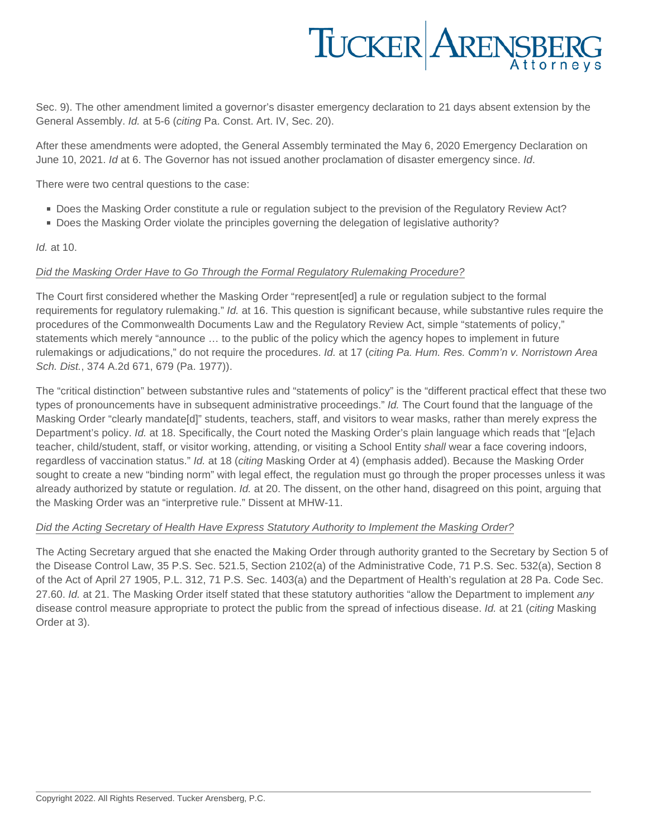# TUCKER ARENSBE

Sec. 9). The other amendment limited a governor's disaster emergency declaration to 21 days absent extension by the General Assembly. Id. at 5-6 (citing Pa. Const. Art. IV, Sec. 20).

After these amendments were adopted, the General Assembly terminated the May 6, 2020 Emergency Declaration on June 10, 2021. Id at 6. The Governor has not issued another proclamation of disaster emergency since. Id.

There were two central questions to the case:

- Does the Masking Order constitute a rule or regulation subject to the prevision of the Regulatory Review Act?
- Does the Masking Order violate the principles governing the delegation of legislative authority?

#### Id. at  $10$ .

#### Did the Masking Order Have to Go Through the Formal Regulatory Rulemaking Procedure?

The Court first considered whether the Masking Order "represent[ed] a rule or regulation subject to the formal requirements for regulatory rulemaking." Id. at 16. This question is significant because, while substantive rules require the procedures of the Commonwealth Documents Law and the Regulatory Review Act, simple "statements of policy," statements which merely "announce … to the public of the policy which the agency hopes to implement in future rulemakings or adjudications," do not require the procedures. Id. at 17 (citing Pa. Hum. Res. Comm'n v. Norristown Area Sch. Dist., 374 A.2d 671, 679 (Pa. 1977)).

The "critical distinction" between substantive rules and "statements of policy" is the "different practical effect that these two types of pronouncements have in subsequent administrative proceedings." Id. The Court found that the language of the Masking Order "clearly mandate[d]" students, teachers, staff, and visitors to wear masks, rather than merely express the Department's policy. Id. at 18. Specifically, the Court noted the Masking Order's plain language which reads that "[e]ach teacher, child/student, staff, or visitor working, attending, or visiting a School Entity shall wear a face covering indoors, regardless of vaccination status." Id. at 18 (citing Masking Order at 4) (emphasis added). Because the Masking Order sought to create a new "binding norm" with legal effect, the regulation must go through the proper processes unless it was already authorized by statute or regulation. Id. at 20. The dissent, on the other hand, disagreed on this point, arguing that the Masking Order was an "interpretive rule." Dissent at MHW-11.

## Did the Acting Secretary of Health Have Express Statutory Authority to Implement the Masking Order?

The Acting Secretary argued that she enacted the Making Order through authority granted to the Secretary by Section 5 of the Disease Control Law, 35 P.S. Sec. 521.5, Section 2102(a) of the Administrative Code, 71 P.S. Sec. 532(a), Section 8 of the Act of April 27 1905, P.L. 312, 71 P.S. Sec. 1403(a) and the Department of Health's regulation at 28 Pa. Code Sec. 27.60. Id. at 21. The Masking Order itself stated that these statutory authorities "allow the Department to implement any disease control measure appropriate to protect the public from the spread of infectious disease. Id. at 21 (citing Masking Order at 3).